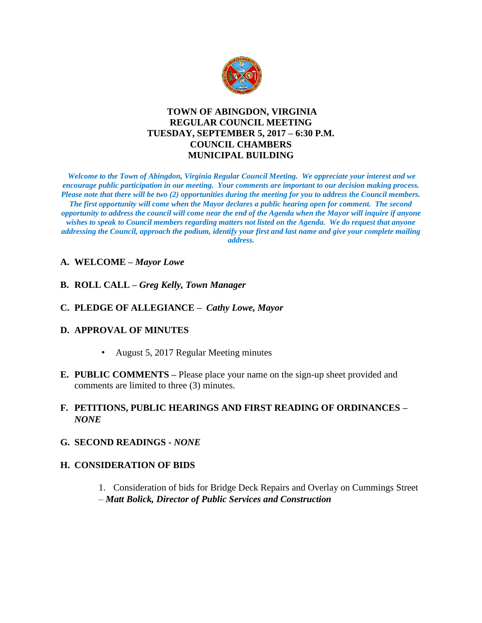

## **TOWN OF ABINGDON, VIRGINIA REGULAR COUNCIL MEETING TUESDAY, SEPTEMBER 5, 2017 – 6:30 P.M. COUNCIL CHAMBERS MUNICIPAL BUILDING**

*Welcome to the Town of Abingdon, Virginia Regular Council Meeting. We appreciate your interest and we encourage public participation in our meeting. Your comments are important to our decision making process. Please note that there will be two (2) opportunities during the meeting for you to address the Council members. The first opportunity will come when the Mayor declares a public hearing open for comment. The second opportunity to address the council will come near the end of the Agenda when the Mayor will inquire if anyone wishes to speak to Council members regarding matters not listed on the Agenda. We do request that anyone addressing the Council, approach the podium, identify your first and last name and give your complete mailing address.* 

#### **A. WELCOME –** *Mayor Lowe*

- **B. ROLL CALL –** *Greg Kelly, Town Manager*
- **C. PLEDGE OF ALLEGIANCE** *Cathy Lowe, Mayor*

#### **D. APPROVAL OF MINUTES**

- August 5, 2017 Regular Meeting minutes
- **E. PUBLIC COMMENTS –** Please place your name on the sign-up sheet provided and comments are limited to three (3) minutes.

### **F. PETITIONS, PUBLIC HEARINGS AND FIRST READING OF ORDINANCES –** *NONE*

**G. SECOND READINGS -** *NONE*

#### **H. CONSIDERATION OF BIDS**

1. Consideration of bids for Bridge Deck Repairs and Overlay on Cummings Street – *Matt Bolick, Director of Public Services and Construction*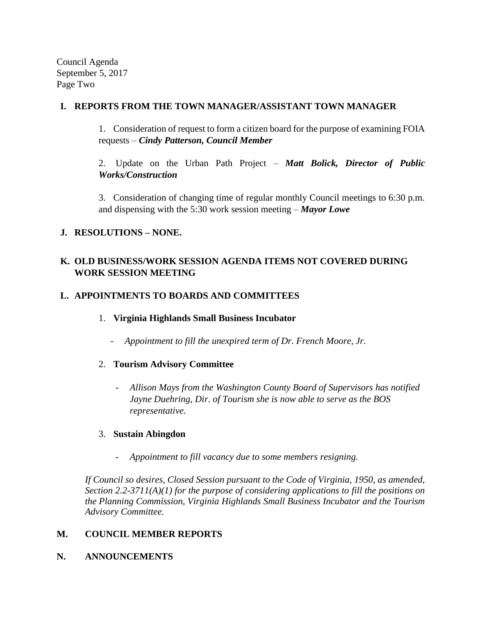Council Agenda September 5, 2017 Page Two

### **I. REPORTS FROM THE TOWN MANAGER/ASSISTANT TOWN MANAGER**

1. Consideration of request to form a citizen board for the purpose of examining FOIA requests – *Cindy Patterson, Council Member*

2. Update on the Urban Path Project – *Matt Bolick, Director of Public Works/Construction*

3. Consideration of changing time of regular monthly Council meetings to 6:30 p.m. and dispensing with the 5:30 work session meeting – *Mayor Lowe*

# **J. RESOLUTIONS – NONE.**

# **K. OLD BUSINESS/WORK SESSION AGENDA ITEMS NOT COVERED DURING WORK SESSION MEETING**

## **L. APPOINTMENTS TO BOARDS AND COMMITTEES**

- 1. **Virginia Highlands Small Business Incubator**
	- *Appointment to fill the unexpired term of Dr. French Moore, Jr.*
- 2. **Tourism Advisory Committee**
	- *Allison Mays from the Washington County Board of Supervisors has notified Jayne Duehring, Dir. of Tourism she is now able to serve as the BOS representative.*

## 3. **Sustain Abingdon**

- *Appointment to fill vacancy due to some members resigning.*

*If Council so desires, Closed Session pursuant to the Code of Virginia, 1950, as amended, Section 2.2-3711(A)(1) for the purpose of considering applications to fill the positions on the Planning Commission, Virginia Highlands Small Business Incubator and the Tourism Advisory Committee.* 

## **M. COUNCIL MEMBER REPORTS**

**N. ANNOUNCEMENTS**